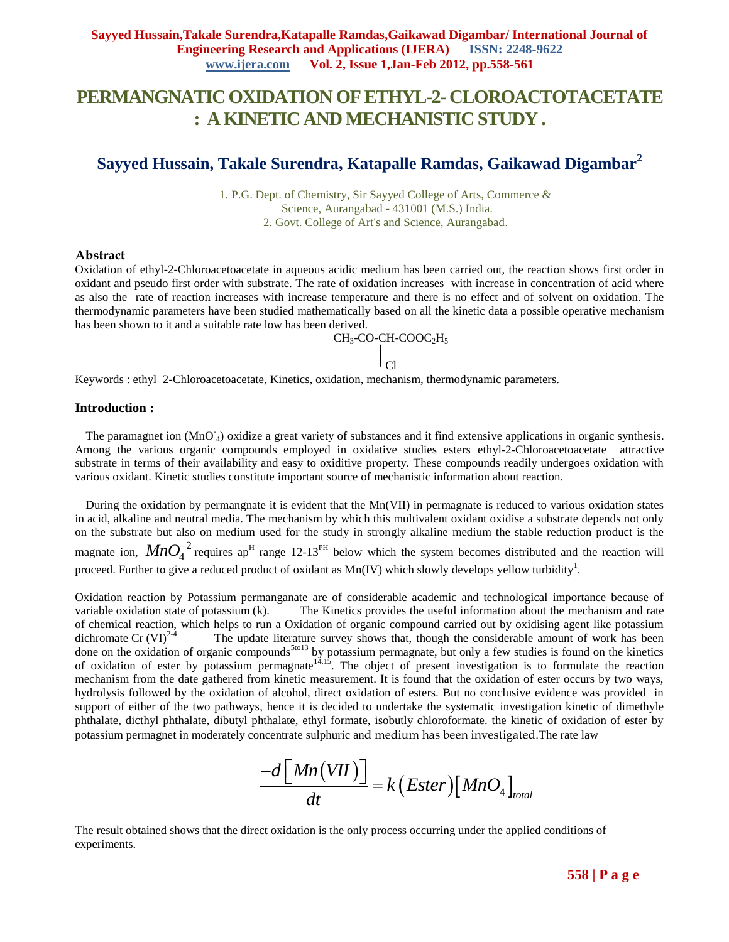## **PERMANGNATIC OXIDATION OF ETHYL-2- CLOROACTOTACETATE : A KINETIC AND MECHANISTIC STUDY .**

### **Sayyed Hussain, Takale Surendra, Katapalle Ramdas, Gaikawad Digambar<sup>2</sup>**

1. P.G. Dept. of Chemistry, Sir Sayyed College of Arts, Commerce & Science, Aurangabad - 431001 (M.S.) India. 2. Govt. College of Art's and Science, Aurangabad.

#### **Abstract**

Oxidation of ethyl-2-Chloroacetoacetate in aqueous acidic medium has been carried out, the reaction shows first order in oxidant and pseudo first order with substrate. The rate of oxidation increases with increase in concentration of acid where as also the rate of reaction increases with increase temperature and there is no effect and of solvent on oxidation. The thermodynamic parameters have been studied mathematically based on all the kinetic data a possible operative mechanism has been shown to it and a suitable rate low has been derived.

> CH<sub>3</sub>-CO-CH-COOC<sub>2</sub>H<sub>5</sub> Cl

Keywords : ethyl 2-Chloroacetoacetate, Kinetics, oxidation, mechanism, thermodynamic parameters.

#### **Introduction :**

The paramagnet ion (MnO<sub>4</sub>) oxidize a great variety of substances and it find extensive applications in organic synthesis. Among the various organic compounds employed in oxidative studies esters ethyl-2-Chloroacetoacetate attractive substrate in terms of their availability and easy to oxiditive property. These compounds readily undergoes oxidation with various oxidant. Kinetic studies constitute important source of mechanistic information about reaction.

During the oxidation by permangnate it is evident that the Mn(VII) in permagnate is reduced to various oxidation states in acid, alkaline and neutral media. The mechanism by which this multivalent oxidant oxidise a substrate depends not only on the substrate but also on medium used for the study in strongly alkaline medium the stable reduction product is the magnate ion,  $MnO_4^{-2}$  requires ap<sup>H</sup> range 12-13<sup>PH</sup> below which the system becomes distributed and the reaction will proceed. Further to give a reduced product of oxidant as  $Mn(IV)$  which slowly develops yellow turbidity<sup>1</sup>.

Oxidation reaction by Potassium permanganate are of considerable academic and technological importance because of variable oxidation state of potassium (k). The Kinetics provides the useful information about the mechanism and rate of chemical reaction, which helps to run a Oxidation of organic compound carried out by oxidising agent like potassium dichromate Cr  $(VI)^{2-4}$  The update literature survey shows that, though the considerable amount of work has been done on the oxidation of organic compounds<sup>5to13</sup> by potassium permagnate, but only a few studies is found on the kinetics of oxidation of ester by potassium permagnate<sup>14,15</sup>. The object of present investigation is to formulate the reaction mechanism from the date gathered from kinetic measurement. It is found that the oxidation of ester occurs by two ways, hydrolysis followed by the oxidation of alcohol, direct oxidation of esters. But no conclusive evidence was provided in support of either of the two pathways, hence it is decided to undertake the systematic investigation kinetic of dimethyle phthalate, dicthyl phthalate, dibutyl phthalate, ethyl formate, isobutly chloroformate. the kinetic of oxidation of ester by potassium permagnet in moderately concentrate sulphuric and medium has been investigated.The rate law

$$
\frac{-d \big[ Mn(VII) \big]}{dt} = k \big( Ester \big) \big[ MnO_4 \big]_{total}
$$

The result obtained shows that the direct oxidation is the only process occurring under the applied conditions of experiments.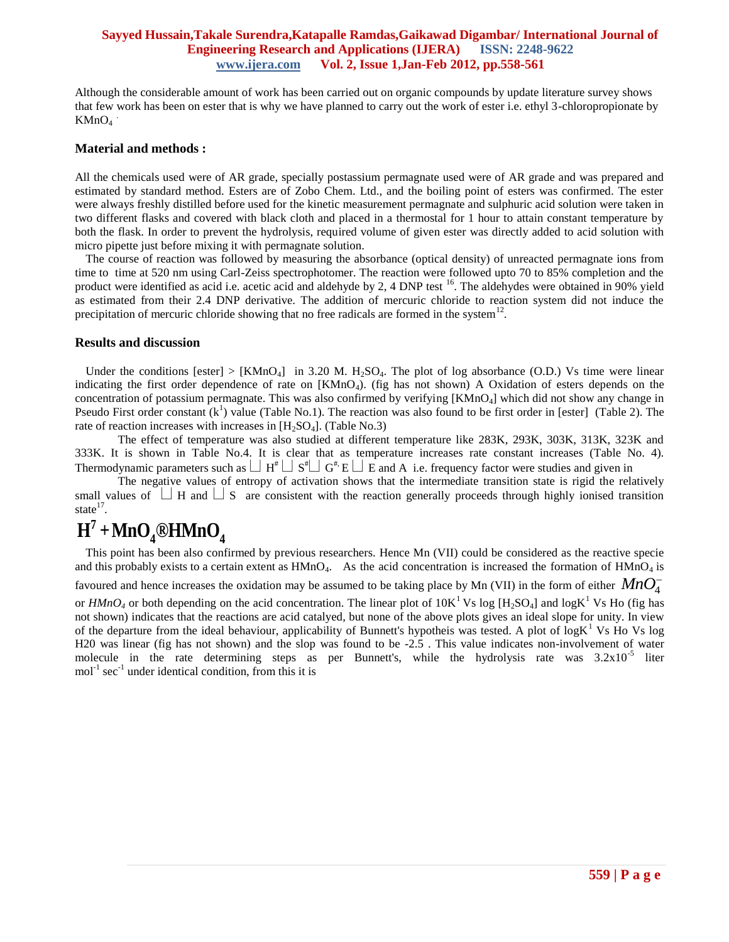#### **Sayyed Hussain,Takale Surendra,Katapalle Ramdas,Gaikawad Digambar/ International Journal of Engineering Research and Applications (IJERA) ISSN: 2248-9622 www.ijera.com Vol. 2, Issue 1,Jan-Feb 2012, pp.558-561**

Although the considerable amount of work has been carried out on organic compounds by update literature survey shows that few work has been on ester that is why we have planned to carry out the work of ester i.e. ethyl 3-chloropropionate by  $KMnO<sub>4</sub>$ .

#### **Material and methods :**

All the chemicals used were of AR grade, specially postassium permagnate used were of AR grade and was prepared and estimated by standard method. Esters are of Zobo Chem. Ltd., and the boiling point of esters was confirmed. The ester were always freshly distilled before used for the kinetic measurement permagnate and sulphuric acid solution were taken in two different flasks and covered with black cloth and placed in a thermostal for 1 hour to attain constant temperature by both the flask. In order to prevent the hydrolysis, required volume of given ester was directly added to acid solution with micro pipette just before mixing it with permagnate solution.

The course of reaction was followed by measuring the absorbance (optical density) of unreacted permagnate ions from time to time at 520 nm using Carl-Zeiss spectrophotomer. The reaction were followed upto 70 to 85% completion and the product were identified as acid i.e. acetic acid and aldehyde by 2, 4 DNP test  $^{16}$ . The aldehydes were obtained in 90% yield as estimated from their 2.4 DNP derivative. The addition of mercuric chloride to reaction system did not induce the precipitation of mercuric chloride showing that no free radicals are formed in the system<sup>12</sup>.

#### **Results and discussion**

Under the conditions [ester] > [KMnO<sub>4</sub>] in 3.20 M. H<sub>2</sub>SO<sub>4</sub>. The plot of log absorbance (O.D.) Vs time were linear indicating the first order dependence of rate on [KMnO<sub>4</sub>). (fig has not shown) A Oxidation of esters depends on the concentration of potassium permagnate. This was also confirmed by verifying [KMnO4] which did not show any change in Pseudo First order constant  $(k<sup>1</sup>)$  value (Table No.1). The reaction was also found to be first order in [ester] (Table 2). The rate of reaction increases with increases in  $[H_2SO_4]$ . (Table No.3)

The effect of temperature was also studied at different temperature like 283K, 293K, 303K, 313K, 323K and 333K. It is shown in Table No.4. It is clear that as temperature increases rate constant increases (Table No. 4). Thermodynamic parameters such as  $\Box H^* \Box S^* \Box G^* E \Box E$  and A i.e. frequency factor were studies and given in

The negative values of entropy of activation shows that the intermediate transition state is rigid the relatively small values of  $\Box$  H and  $\Box$  S are consistent with the reaction generally proceeds through highly ionised transition state $^{17}$ .

# $H^7 + MnO_4$ <sup>®</sup>HMnO<sub>4</sub>

This point has been also confirmed by previous researchers. Hence Mn (VII) could be considered as the reactive specie and this probably exists to a certain extent as  $HMnO<sub>4</sub>$ . As the acid concentration is increased the formation of  $HMnO<sub>4</sub>$  is favoured and hence increases the oxidation may be assumed to be taking place by Mn (VII) in the form of either  $MnO_4^$ or  $HMnO_4$  or both depending on the acid concentration. The linear plot of  $10K^1$  Vs log [H<sub>2</sub>SO<sub>4</sub>] and logK<sup>1</sup> Vs Ho (fig has not shown) indicates that the reactions are acid catalyed, but none of the above plots gives an ideal slope for unity. In view of the departure from the ideal behaviour, applicability of Bunnett's hypotheis was tested. A plot of  $log K<sup>1</sup>$  Vs Ho Vs log H20 was linear (fig has not shown) and the slop was found to be -2.5 . This value indicates non-involvement of water molecule in the rate determining steps as per Bunnett's, while the hydrolysis rate was 3.2x10<sup>-5</sup> liter  $mol<sup>-1</sup> sec<sup>-1</sup>$  under identical condition, from this it is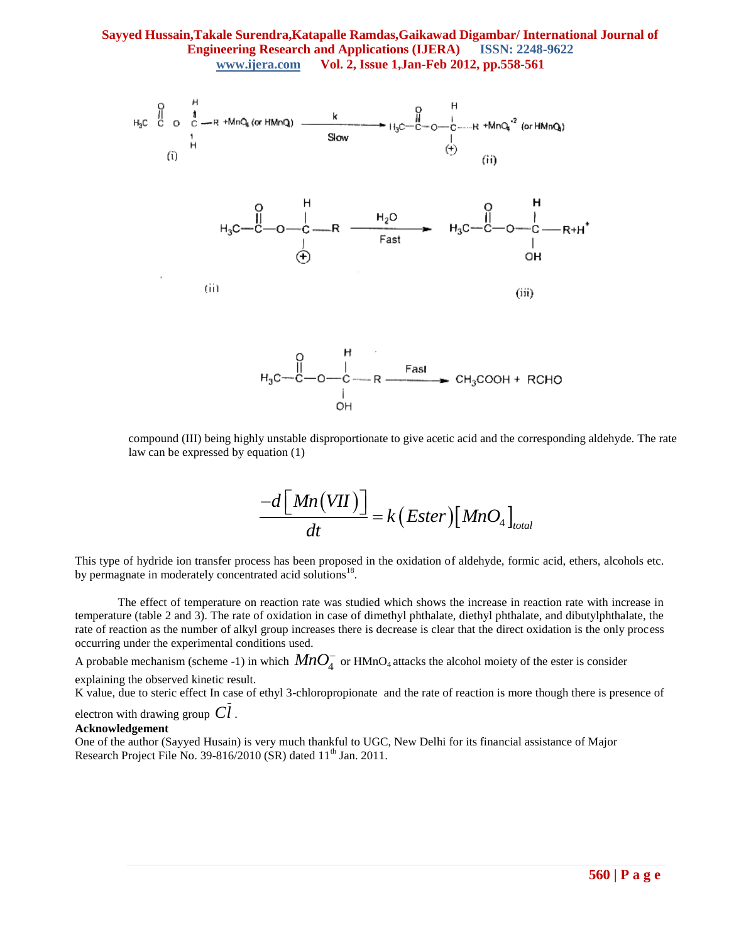#### **Sayyed Hussain,Takale Surendra,Katapalle Ramdas,Gaikawad Digambar/ International Journal of Engineering Research and Applications (IJERA) ISSN: 2248-9622 www.ijera.com Vol. 2, Issue 1,Jan-Feb 2012, pp.558-561**



compound (III) being highly unstable disproportionate to give acetic acid and the corresponding aldehyde. The rate law can be expressed by equation (1)

$$
\frac{-d\big[ Mn(VII)\big]}{dt} = k\big( Ester \big) \big[ MnO_4 \big]_{total}
$$

This type of hydride ion transfer process has been proposed in the oxidation of aldehyde, formic acid, ethers, alcohols etc. by permagnate in moderately concentrated acid solutions<sup>18</sup>.

The effect of temperature on reaction rate was studied which shows the increase in reaction rate with increase in temperature (table 2 and 3). The rate of oxidation in case of dimethyl phthalate, diethyl phthalate, and dibutylphthalate, the rate of reaction as the number of alkyl group increases there is decrease is clear that the direct oxidation is the only process occurring under the experimental conditions used.

A probable mechanism (scheme -1) in which  $MnO_4^-$  or HMnO<sub>4</sub> attacks the alcohol moiety of the ester is consider explaining the observed kinetic result.

K value, due to steric effect In case of ethyl 3-chloropropionate and the rate of reaction is more though there is presence of

electron with drawing group *Cl* .

#### **Acknowledgement**

One of the author (Sayyed Husain) is very much thankful to UGC, New Delhi for its financial assistance of Major Research Project File No. 39-816/2010 (SR) dated  $11<sup>th</sup>$  Jan. 2011.